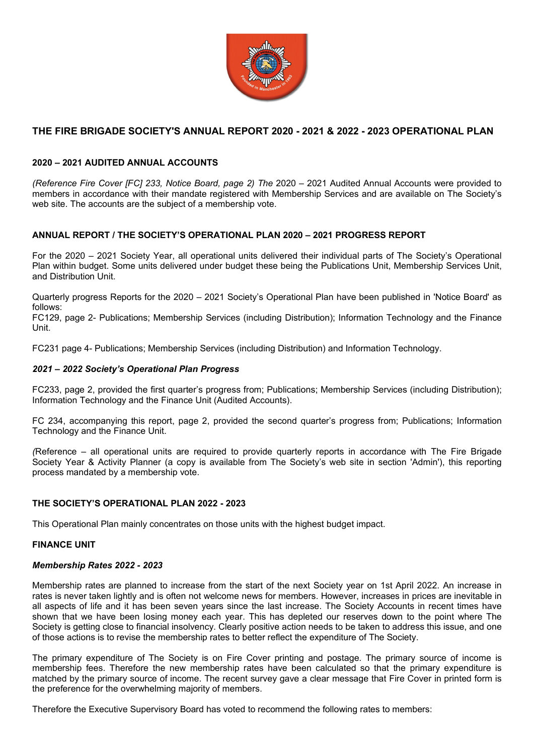

# **THE FIRE BRIGADE SOCIETY'S ANNUAL REPORT 2020 - 2021 & 2022 - 2023 OPERATIONAL PLAN**

# **2020 – 2021 AUDITED ANNUAL ACCOUNTS**

*(Reference Fire Cover [FC] 233, Notice Board, page 2) The* 2020 – 2021 Audited Annual Accounts were provided to members in accordance with their mandate registered with Membership Services and are available on The Society's web site. The accounts are the subject of a membership vote.

# **ANNUAL REPORT / THE SOCIETY'S OPERATIONAL PLAN 2020 – 2021 PROGRESS REPORT**

For the 2020 – 2021 Society Year, all operational units delivered their individual parts of The Society's Operational Plan within budget. Some units delivered under budget these being the Publications Unit, Membership Services Unit, and Distribution Unit.

Quarterly progress Reports for the 2020 – 2021 Society's Operational Plan have been published in 'Notice Board' as follows:

FC129, page 2- Publications; Membership Services (including Distribution); Information Technology and the Finance Unit.

FC231 page 4- Publications; Membership Services (including Distribution) and Information Technology.

# *2021 – 2022 Society's Operational Plan Progress*

FC233, page 2, provided the first quarter's progress from; Publications; Membership Services (including Distribution); Information Technology and the Finance Unit (Audited Accounts).

FC 234, accompanying this report, page 2, provided the second quarter's progress from; Publications; Information Technology and the Finance Unit.

*(*Reference – all operational units are required to provide quarterly reports in accordance with The Fire Brigade Society Year & Activity Planner (a copy is available from The Society's web site in section 'Admin'), this reporting process mandated by a membership vote.

# **THE SOCIETY'S OPERATIONAL PLAN 2022 - 2023**

This Operational Plan mainly concentrates on those units with the highest budget impact.

# **FINANCE UNIT**

#### *Membership Rates 2022 - 2023*

Membership rates are planned to increase from the start of the next Society year on 1st April 2022. An increase in rates is never taken lightly and is often not welcome news for members. However, increases in prices are inevitable in all aspects of life and it has been seven years since the last increase. The Society Accounts in recent times have shown that we have been losing money each year. This has depleted our reserves down to the point where The Society is getting close to financial insolvency. Clearly positive action needs to be taken to address this issue, and one of those actions is to revise the membership rates to better reflect the expenditure of The Society.

The primary expenditure of The Society is on Fire Cover printing and postage. The primary source of income is membership fees. Therefore the new membership rates have been calculated so that the primary expenditure is matched by the primary source of income. The recent survey gave a clear message that Fire Cover in printed form is the preference for the overwhelming majority of members.

Therefore the Executive Supervisory Board has voted to recommend the following rates to members: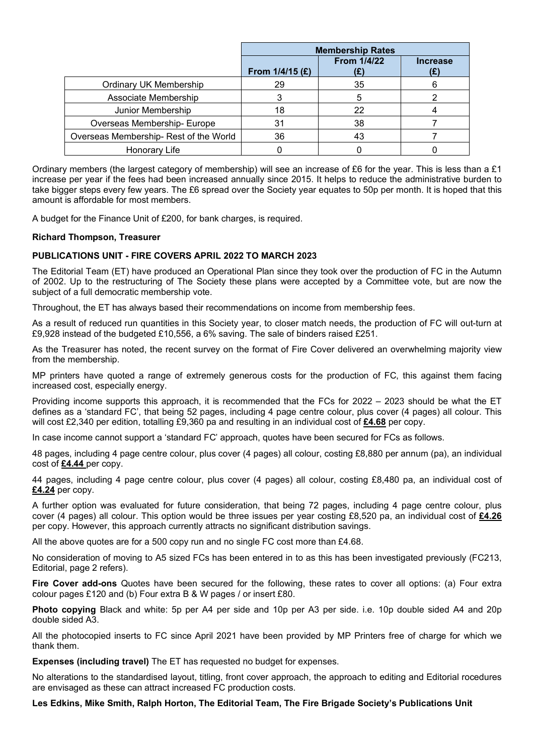|                                       | <b>Membership Rates</b> |                           |                        |
|---------------------------------------|-------------------------|---------------------------|------------------------|
|                                       | From $1/4/15$ (£)       | <b>From 1/4/22</b><br>(£) | <b>Increase</b><br>(£) |
| Ordinary UK Membership                | 29                      | 35                        |                        |
| Associate Membership                  |                         | 5                         |                        |
| Junior Membership                     | 18                      | 22                        |                        |
| Overseas Membership- Europe           | 31                      | 38                        |                        |
| Overseas Membership-Rest of the World | 36                      | 43                        |                        |
| Honorary Life                         |                         |                           |                        |

Ordinary members (the largest category of membership) will see an increase of £6 for the year. This is less than a £1 increase per year if the fees had been increased annually since 2015. It helps to reduce the administrative burden to take bigger steps every few years. The £6 spread over the Society year equates to 50p per month. It is hoped that this amount is affordable for most members.

A budget for the Finance Unit of £200, for bank charges, is required.

# **Richard Thompson, Treasurer**

### **PUBLICATIONS UNIT - FIRE COVERS APRIL 2022 TO MARCH 2023**

The Editorial Team (ET) have produced an Operational Plan since they took over the production of FC in the Autumn of 2002. Up to the restructuring of The Society these plans were accepted by a Committee vote, but are now the subject of a full democratic membership vote.

Throughout, the ET has always based their recommendations on income from membership fees.

As a result of reduced run quantities in this Society year, to closer match needs, the production of FC will out-turn at £9,928 instead of the budgeted £10,556, a 6% saving. The sale of binders raised £251.

As the Treasurer has noted, the recent survey on the format of Fire Cover delivered an overwhelming majority view from the membership.

MP printers have quoted a range of extremely generous costs for the production of FC, this against them facing increased cost, especially energy.

Providing income supports this approach, it is recommended that the FCs for 2022 – 2023 should be what the ET defines as a 'standard FC', that being 52 pages, including 4 page centre colour, plus cover (4 pages) all colour. This will cost £2,340 per edition, totalling £9,360 pa and resulting in an individual cost of **£4.68** per copy.

In case income cannot support a 'standard FC' approach, quotes have been secured for FCs as follows.

48 pages, including 4 page centre colour, plus cover (4 pages) all colour, costing £8,880 per annum (pa), an individual cost of **£4.44** per copy.

44 pages, including 4 page centre colour, plus cover (4 pages) all colour, costing £8,480 pa, an individual cost of **£4.24** per copy.

A further option was evaluated for future consideration, that being 72 pages, including 4 page centre colour, plus cover (4 pages) all colour. This option would be three issues per year costing £8,520 pa, an individual cost of **£4.26** per copy. However, this approach currently attracts no significant distribution savings.

All the above quotes are for a 500 copy run and no single FC cost more than £4.68.

No consideration of moving to A5 sized FCs has been entered in to as this has been investigated previously (FC213, Editorial, page 2 refers).

**Fire Cover add-ons** Quotes have been secured for the following, these rates to cover all options: (a) Four extra colour pages £120 and (b) Four extra B & W pages / or insert £80.

**Photo copying** Black and white: 5p per A4 per side and 10p per A3 per side. i.e. 10p double sided A4 and 20p double sided A3.

All the photocopied inserts to FC since April 2021 have been provided by MP Printers free of charge for which we thank them.

**Expenses (including travel)** The ET has requested no budget for expenses.

No alterations to the standardised layout, titling, front cover approach, the approach to editing and Editorial rocedures are envisaged as these can attract increased FC production costs.

**Les Edkins, Mike Smith, Ralph Horton, The Editorial Team, The Fire Brigade Society's Publications Unit**